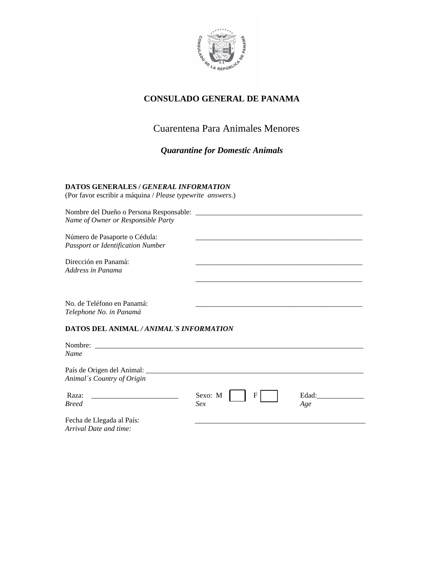

## **CONSULADO GENERAL DE PANAMA**

# Cuarentena Para Animales Menores

\_\_\_\_\_\_\_\_\_\_\_\_\_\_\_\_\_\_\_\_\_\_\_\_\_\_\_\_\_\_\_\_\_\_\_\_\_\_\_\_\_\_\_\_\_\_

*Quarantine for Domestic Animals* 

### **DATOS GENERALES /** *GENERAL INFORMATION*

(Por favor escribir a máquina / *Please typewrite answers*.)

Nombre del Dueño o Persona Responsable: \_\_\_\_\_\_\_\_\_\_\_\_\_\_\_\_\_\_\_\_\_\_\_\_\_\_\_\_\_\_\_\_\_\_\_\_\_\_\_\_\_\_\_\_\_\_ *Name of Owner or Responsible Party*  Número de Pasaporte o Cédula: *Passport or Identification Number* 

Dirección en Panamá: *Address in Panama* 

No. de Teléfono en Panamá: *Telephone No. in Panamá* 

### **DATOS DEL ANIMAL** */ ANIMAL´S INFORMATION*

| Nombre:<br>Name                                          |                                |              |
|----------------------------------------------------------|--------------------------------|--------------|
| País de Origen del Animal:<br>Animal's Country of Origin |                                |              |
| Raza:<br><b>Breed</b>                                    | Sexo: M<br>$\mathbf{F}$<br>Sex | Edad:<br>Age |
| Fecha de Llegada al País:                                |                                |              |

*Arrival Date and time:*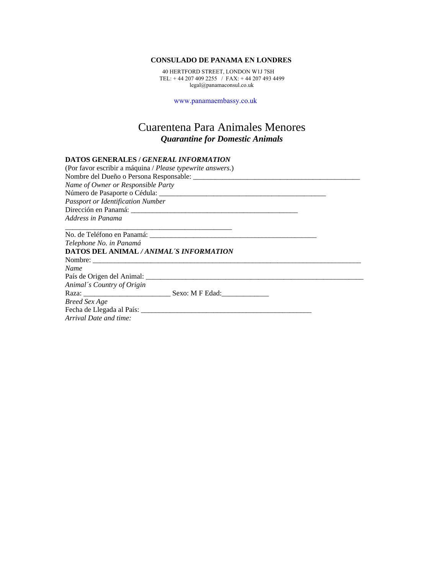#### **CONSULADO DE PANAMA EN LONDRES**

 40 HERTFORD STREET, LONDON W1J 7SH TEL: + 44 207 409 2255 / FAX: + 44 207 493 4499 legal@panamaconsul.co.uk

www.panamaembassy.co.uk

# Cuarentena Para Animales Menores *Quarantine for Domestic Animals*

#### **DATOS GENERALES /** *GENERAL INFORMATION*

| (Por favor escribir a máquina / Please typewrite answers.) |  |
|------------------------------------------------------------|--|
|                                                            |  |
| Name of Owner or Responsible Party                         |  |
|                                                            |  |
| <b>Passport or Identification Number</b>                   |  |
|                                                            |  |
| Address in Panama                                          |  |
|                                                            |  |
| Telephone No. in Panamá                                    |  |
| DATOS DEL ANIMAL / ANIMAL'S INFORMATION                    |  |
|                                                            |  |
| <b>Name</b>                                                |  |
|                                                            |  |
| Animal's Country of Origin                                 |  |
|                                                            |  |
| <b>Breed Sex Age</b>                                       |  |
|                                                            |  |
| Arrival Date and time:                                     |  |